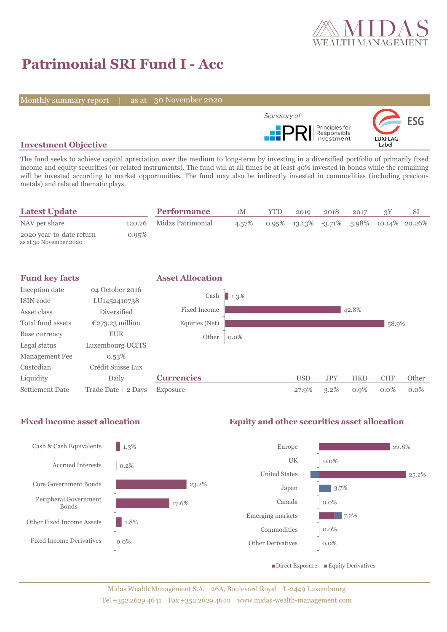

# **Patrimonial SRI Fund I - Acc**

Monthly summary report | as at 30 November 2020



## **Investment Objective**

The fund seeks to achieve capital apreciation over the medium to long-term by investing in a diversified portfolio of primarily fixed income and equity securities (or related instruments). The fund will at all times be at least 40% invested in bonds while the remaining will be invested according to market opportunities. The fund may also be indirectly invested in commodities (including precious metals) and related thematic plays.

| <b>Latest Update</b>                               |       | <b>Performance</b>       | 1M    | <b>YTD</b> | 2019                                            | 2018 | 2017 |  |
|----------------------------------------------------|-------|--------------------------|-------|------------|-------------------------------------------------|------|------|--|
| NAV per share                                      |       | 120.26 Midas Patrimonial | 4.57% |            | $0.95\%$ 13.13\% -3.71\% 5.98\% 10.14\% 20.26\% |      |      |  |
| 2020 year-to-date return<br>as at 30 November 2020 | 0.95% |                          |       |            |                                                 |      |      |  |



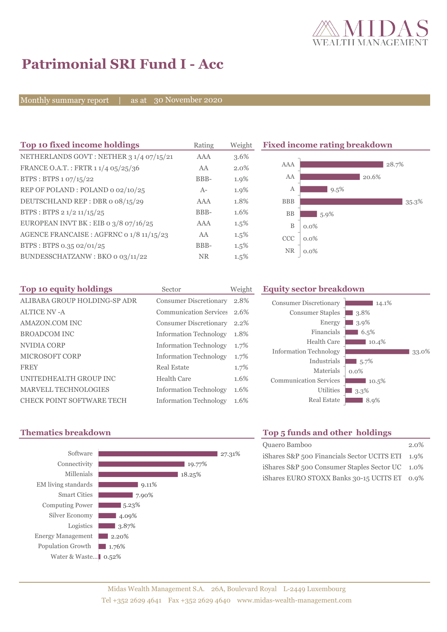

# **Patrimonial SRI Fund I - Acc**

Monthly summary report | as at 30 November 2020

| Top 10 fixed income holdings              | Rating     | Weight  | <b>Fixed income rating breakdown</b> |         |       |
|-------------------------------------------|------------|---------|--------------------------------------|---------|-------|
| NETHERLANDS GOVT: NETHER 3 1/4 07/15/21   | <b>AAA</b> | 3.6%    |                                      |         |       |
| FRANCE O.A.T.: FRTR 1 1/4 05/25/36        | AA         | 2.0%    | <b>AAA</b>                           | 28.7%   |       |
| BTPS : BTPS $1.07/15/22$                  | BBB-       | 1.9%    | AA                                   | 20.6%   |       |
| REP OF POLAND: POLAND 0 02/10/25          | $A-$       | 1.9%    | A                                    | 9.5%    |       |
| DEUTSCHLAND REP: DBR o 08/15/29           | AAA        | 1.8%    | <b>BBB</b>                           |         | 35.3% |
| BTPS: BTPS $2\frac{1}{2}\frac{11}{15}/25$ | BBB-       | 1.6%    | <b>BB</b>                            | $5.9\%$ |       |
| EUROPEAN INVT BK : EIB o $3/8$ o7/16/25   | <b>AAA</b> | $1.5\%$ | B                                    | $0.0\%$ |       |
| AGENCE FRANCAISE : AGFRNC 0 1/8 11/15/23  | AA         | $1.5\%$ | <b>CCC</b>                           | $0.0\%$ |       |
| BTPS: BTPS 0.35 02/01/25                  | BBB-       | $1.5\%$ |                                      |         |       |
| BUNDESSCHATZANW: BKO 0 03/11/22           | <b>NR</b>  | $1.5\%$ | NR.                                  | $0.0\%$ |       |

| Top 10 equity holdings       | Sector                        | Weight |
|------------------------------|-------------------------------|--------|
| ALIBABA GROUP HOLDING-SP ADR | <b>Consumer Discretionary</b> | 2.8%   |
| <b>ALTICE NV -A</b>          | <b>Communication Services</b> | 2.6%   |
| AMAZON.COM INC               | <b>Consumer Discretionary</b> | 2.2%   |
| <b>BROADCOM INC</b>          | <b>Information Technology</b> | 1.8%   |
| NVIDIA CORP                  | <b>Information Technology</b> | 1.7%   |
| MICROSOFT CORP               | <b>Information Technology</b> | 1.7%   |
| <b>FREY</b>                  | Real Estate                   | 1.7%   |
| UNITEDHEALTH GROUP INC       | Health Care                   | 1.6%   |
| MARVELL TECHNOLOGIES         | <b>Information Technology</b> | 1.6%   |
| CHECK POINT SOFTWARE TECH    | <b>Information Technology</b> | 1.6%   |

### **Equity sector breakdown**





# **Thematics breakdown Top 5 funds and other holdings**

| Quaero Bamboo                                    | $2.0\%$ |
|--------------------------------------------------|---------|
| iShares S&P 500 Financials Sector UCITS ETI 1.9% |         |
| iShares S&P 500 Consumer Staples Sector UC 1.0%  |         |
| iShares EURO STOXX Banks 30-15 UCITS ET 0.9%     |         |